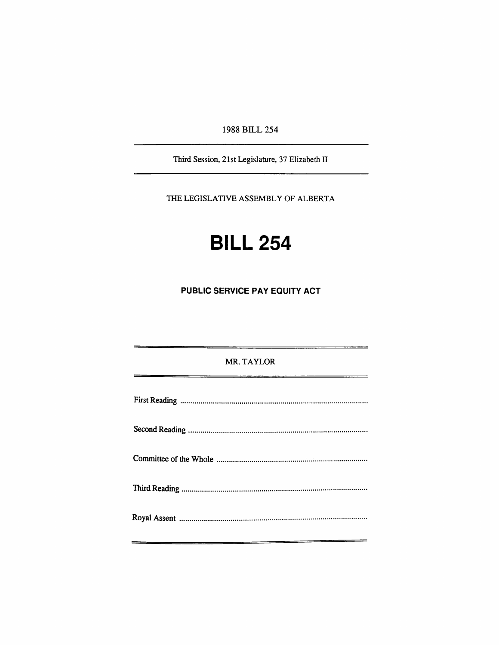1988 BILL 254

Third Session, 21st Legislature, 37 Elizabeth II

THE LEGISLATIVE ASSEMBLY OF ALBERTA

## **BILL 254**

**PUBLIC SERVICE PAY EQUITY ACT** 

# MR. TAYLOR Fkst Reading Second Reading Committee of die Whole Thkd Readkig Royal Assent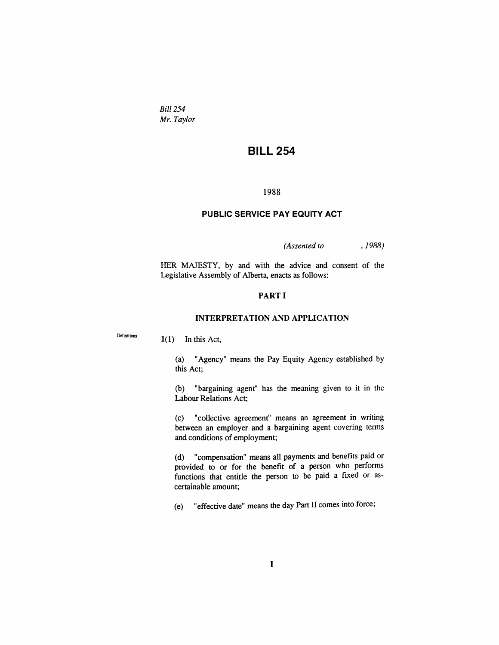*Bill 254 Mr. Taylor* 

### **BILL 254**

#### **1988**

#### **PUBLIC SERVICE PAY EQUITY ACT**

*(Assented to , 1988)* 

HER MAJESTY, by and with the advice and consent of the Legislative Assembly of Alberta, enacts as follows:

#### **PARTI**

#### **INTERPRETATION AND APPLICATION**

**Definitiona** 

**1(1)** In this Act,

(a) "Agency" means the Pay Equity Agency established by this Act;

(b) "bargaining agent" has the meaning given to it in the Labour Relations Act;

(c) "collective agreement" means an agreement in writing between an employer and a bargaining agent covering terms and conditions of employment;

(d) "compensation" means aU payments and benefits paid or provided to or for the benefit of a person who performs functions that entitle the person to be paid a fixed or ascertainable amount;

(e) "effective date" means die day Part II comes mto force;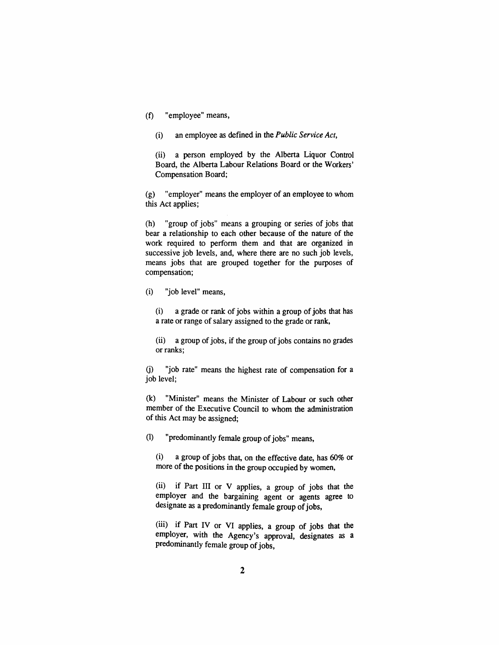(f) "employee" means,

(i) an employee as defined in the *Public Service Act,* 

(ii) a person employed by the Alberta Liquor Control Board, the Alberta Labour Relations Board or the Workers' Compensation Board;

(g) "employer" means the employer of an employee to whom this Act applies;

(h) "group of jobs" means a grouping or series of jobs diat bear a relationship to each other because of the nature of die work required to perform them and that are organized in successive job levels, and, where there are no such job levels, means jobs that are grouped together for the purposes of compensation;

(i) "job level" means,

(i) a grade or rank of jobs within a group of jobs that has a rate or range of salary assigned to the grade or rank,

(ii) a group of jobs, if the group of jobs contains no grades or ranks;

(j) "job rate" means the highest rate of compensation for a job level;

(k) "Minister" means die Minister of Labour or such odier member of the Executive Council to whom the administration of this Act may be assigned;

(1) "predominandy female group of jobs" means,

(i) a group of jobs diat, on the effective date, has 60% or more of the positions in the group occupied by women,

 $(ii)$  if Part III or V applies, a group of jobs that the employer and the bargaining agent or agents agree to designate as a predominantly female group of jobs,

(iii) if Part IV or VI applies, a group of jobs that the employer, with the Agency's approval, designates as a predominandy female group of jobs.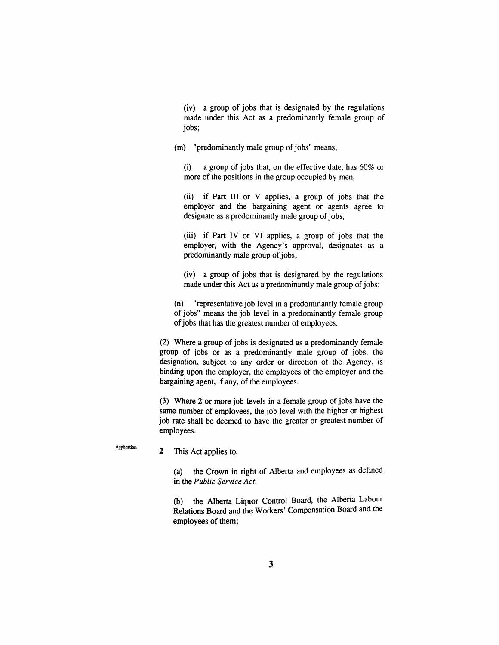(iv) a group of jobs diat is designated by die regulations made under this Act as a predominandy female group of jobs;

(m) "predominantly male group of jobs" means,

(i) a group of jobs that, on the effective date, has 60% or more of the positions in the group occupied by men,

(ii) if Part III or V applies, a group of jobs that the employer and the bargaining agent or agents agree to designate as a predominantly male group of jobs,

(iii) if Part IV or VI applies, a group of jobs that the employer, with the Agency's approval, designates as a predominantly male group of jobs,

(iv) a group of jobs diat is designated by the regulations made under this Act as a predominandy male group of jobs;

(n) "representative job level in a predominantly female group of jobs" means the job level in a predominantly female group of jobs that has the greatest number of employees.

(2) Where a group of jobs is designated as a predominantly female group of jobs or as a predominandy male group of jobs, the designation, subject to any order or direction of the Agency, is binding upon the employer, the employees of die employer and the bargaining agent, if any, of die employees.

(3) Where 2 or more job levels in a female group of jobs have the same number of employees, the job level with the higher or highest job rate shall be deemed to have the greater or greatest number of employees.

**Application** 

2 This Act applies to,

(a) the Crown in right of Alberta and employees as defined in the *Public Service Act;* 

(b) the Alberta Liquor Control Board, the Alberta Labour Relations Board and the Workers' Compensation Board and the employees of them;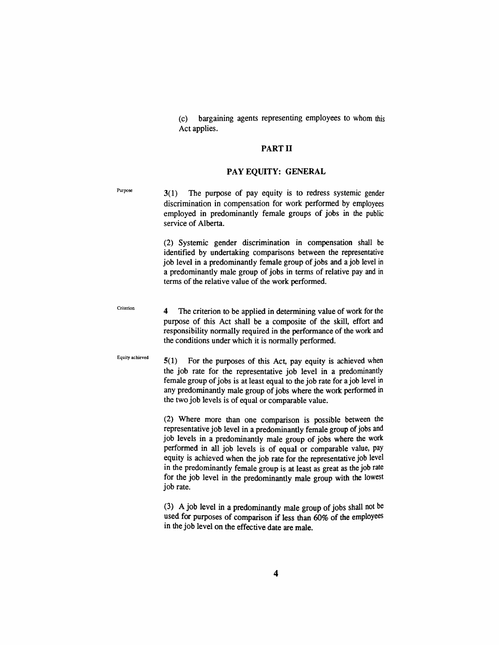(c) bargaining agents representing employees to whom diis Act applies.

#### **PART II**

#### **PAY EQUITY: GENERAL**

 $P_{\text{urpose}}$  3(1) The purpose of pay equity is to redress systemic gender discrimination in compensation for work performed by employees employed in predominandy female groups of jobs in die public service of Alberta.

> (2) Systemic gender discrimination in compensation shall be identified by undertaking comparisons between the representative job level in a predominandy female group of jobs and a job level in a predominandy male group of jobs in terms of relative pay and in terms of the relative value of the work performed.

Criterion

**4** The criterion to be applied in determining value of work for the purpose of this Act shall be a composite of the skill, effort and responsibility normally required in the performance of the work and the conditions under which it is normally performed.

Equity achieved

5(1) For the purposes of this Act, pay equity is achieved when the job rate for the representative job level in a predominandy female group of jobs is at least equal to die job rate for a job level in any predominantly male group of jobs where the work performed in the two job levels is of equal or comparable value.

(2) Where more dian one comparison is possible between die representative job level in a predommandy female group of jobs and job levels in a predominantly male group of jobs where die work performed in all job levels is of equal or comparable value, pay equity is achieved when the job rate for the representative job level in the predominantly female group is at least as great as the job rate for the job level in the predominantly male group with the lowest job rate.

(3) A job level in a predominantly male group of jobs shall not be used for purposes of comparison if less than 60% of the employees in the job level on the effective date are male.

 $\boldsymbol{4}$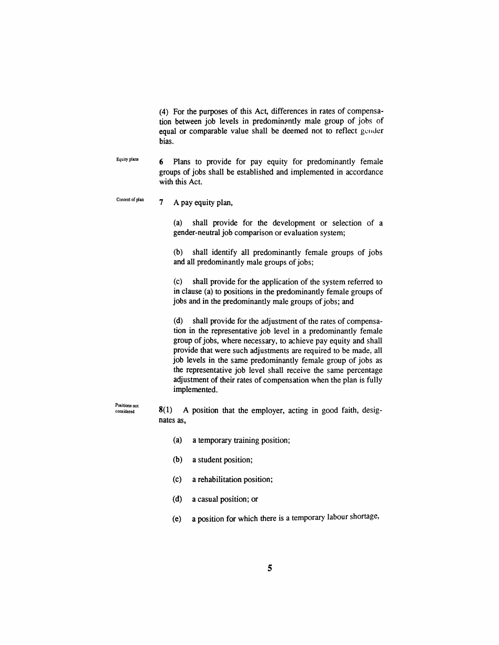(4) For the purposes of diis Act, differences in rates of compensation between job levels in predominandy male group of jobs of equal or comparable value shall be deemed not to reflect gender bias.

**Equity plans**  6 Plans to provide for pay equity for predominandy female groups of jobs shaU be established and implemented in accordance with this Act.

**Content of plan** 7 A pay equity plan,

> (a) shaU provide for the development or selection of a gender-neuttal job comparison or evaluation system;

> (b) shall identify all predominantly female groups of jobs and all predominantly male groups of jobs;

> (c) shaU provide for the application of the system referted to in clause (a) to positions in the predominandy female groups of jobs and in the predominandy male groups of jobs; and

> (d) shall provide for the adjustment of the rates of compensation in the representative job level in a predominantly female group of jobs, where necessary, to achieve pay equity and shaU provide that were such adjustments are required to be made, all job levels in the same predominandy female group of jobs as the representative job level shaU receive die same percentage adjustment of their rates of compensation when the plan is fully implemented.

**Positions not considered** 

8(1) A position that die employer, acting in good faith, designates as,

- (a) a temporary training position;
- (b) a student position;
- (c) a rehabilitation position;
- (d) a casual position; or
- (e) a position for which there is a temporary labour shortage,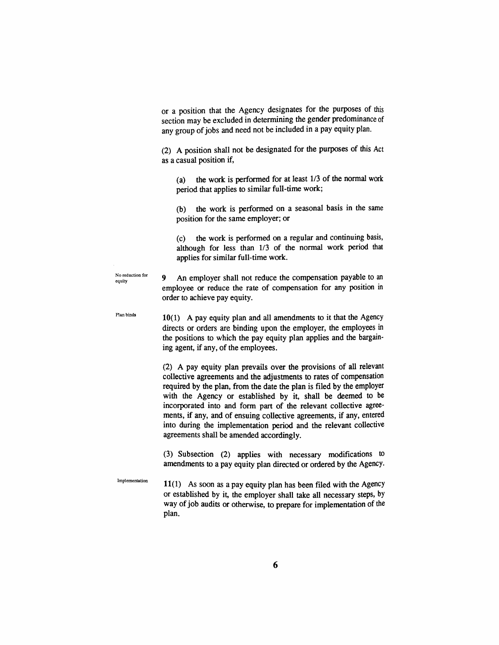or a position diat die Agency designates for die purposes of diis section may be excluded in determining the gender predominance of any group of jobs and need not be included in a pay equity plan.

(2) A position shall not be designated for die purposes of diis Act as a casual position if,

(a) the work is performed for at least  $1/3$  of the normal work period that applies to similar full-time work;

(b) the work is performed on a seasonal basis in the same position for the same employer; or

(c) the work is performed on a regular and continuing basis, although for less than 1/3 of the normal work period that applies for similar full-time work.

 $^{\text{No reduction for}}$  9 An employer shall not reduce the compensation payable to an employee or reduce the rate of compensation for any position in order to achieve pay equity.

 $P<sup>10</sup>$   $P<sup>10</sup>$   $P<sup>10</sup>$   $P<sup>10</sup>$   $P<sup>10</sup>$   $P<sup>10</sup>$   $P<sup>10</sup>$   $P<sup>10</sup>$   $P<sup>10</sup>$   $P<sup>10</sup>$   $P<sup>10</sup>$   $P<sup>10</sup>$   $P<sup>10</sup>$   $P<sup>10</sup>$   $P<sup>10</sup>$   $P<sup>10</sup>$   $P<sup>10</sup>$   $P<sup>10</sup>$   $P$ directs or orders are binding upon the employer, the employees in the positions to which the pay equity plan applies and the bargaining agent, if any, of the employees.

> (2) A pay equity plan prevails over the provisions of all relevant collective agreements and the adjustinents to rates of compensation required by the plan, from the date the plan is filed by the employer with the Agency or established by it, shall be deemed to be incorporated into and form part of the relevant collective agreements, if any, and of ensuing collective agreements, if any, entered into during the implementation period and the relevant collective agreements shall be amended accordingly.

> (3) Subsection (2) applies with necessary modifications to amendments to a pay equity plan directed or ordered by the Agency.

Implementation  $11(1)$  As soon as a pay equity plan has been filed with the Agency or established by it, the employer shall take all necessary steps, by way of job audits or otherwise, to prepare for implementation of the plan.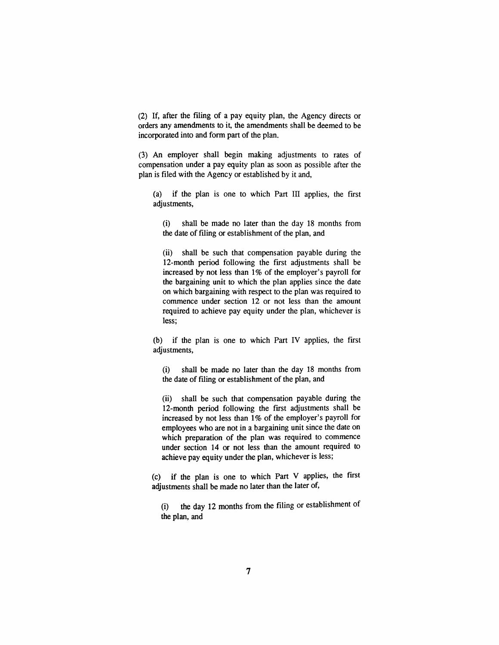$(2)$  If, after the filing of a pay equity plan, the Agency directs or orders any amendments to it, the amendments shall be deemed to be incorporated into and form part of the plan.

(3) An employer shall begin making adjustments to rates of compensation under a pay equity plan as soon as possible after the plan is filed with the Agency or established by it and,

(a) if the plan is one to which Part III applies, the first adjustments,

(i) shall be made no later than the day 18 months from the date of filing or establishment of the plan, and

(ii) shall be such that compensation payable during the 12-month period following the first adjustments shall be increased by not less than 1% of the employer's payroll for the bargaining unit to which the plan applies since the date on which bargaining with respect to the plan was required to commence under section 12 or not less than die amount required to achieve pay equity under the plan, whichever is less;

 $(b)$  if the plan is one to which Part IV applies, the first adjustments,

(i) shall be made no later than die day 18 mondis from the date of filing or establishment of the plan, and

(ii) shall be such that compensation payable during the 12-month period following the first adjustments shall be increased by not less than 1% of the employer's payroll for employees who are not in a bargaining unit since the date on which preparation of the plan was required to commence under section 14 or not less than the amount required to achieve pay equity under the plan, whichever is less;

(c) if the plan is one to which Part V applies, the first adjustments shall be made no later than the later of,

(i) the day 12 months from the filing or establishment of the plan, and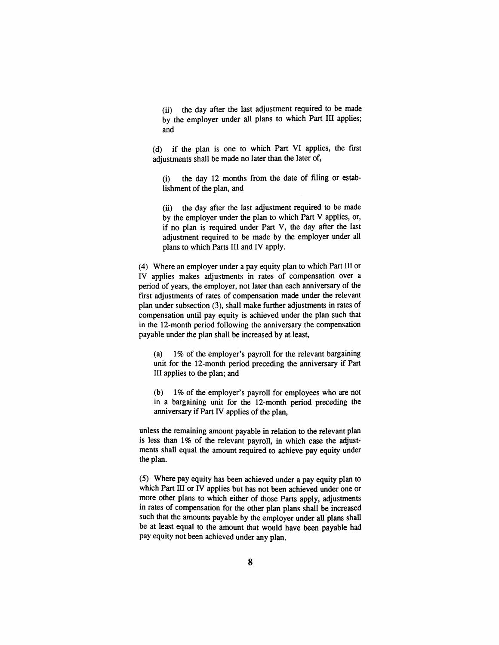(ii) the day after the last adjustment required to be made by the employer under all plans to which Part III apphes; and

(d) if the plan is one to which Part VI applies, the first adjustments shall be made no later than the later of,

(i) die day 12 mondis from die date of filmg or establishment of the plan, and

 $(ii)$  the day after the last adjustment required to be made by die employer under the plan to which Part V applies, or, if no plan is required under Part V, the day after the last adjustment required to be made by the employer under all plans to which Parts III and IV apply.

(4) Where an employer under a pay equity plan to which Part III or IV applies makes adjustments in rates of compensation over a period of years, the employer, not later than each anniversary of the first adjustments of rates of compensation made under the relevant plan under subsection (3), shall make further adjustments in rates of compensation until pay equity is achieved under the plan such that in the 12-month period following the anniversary the compensation payable under the plan shall be increased by at least,

(a) 1% of the employer's payroll for the relevant bargaining unit for the 12-month period preceding the anniversary if Part III applies to the plan; and

(b) 1% of the employer's payroll for employees who are not in a bargaining unit for the 12-mondi period preceding the anniversary if Part IV applies of the plan,

unless the remaining amount payable in relation to die relevant plan is less than  $1\%$  of the relevant payroll, in which case the adjustments shall equal the amount required to achieve pay equity under the plan.

(5) Where pay equity has been achieved under a pay equity plan to which Part HI or IV applies but has not been achieved under one or more other plans to which either of those Parts apply, adjustments in rates of compensation for the other plan plans shall be increased such that the amounts payable by the employer under all plans shall be at least equal to the amount that would have been payable had pay equity not been achieved under any plan.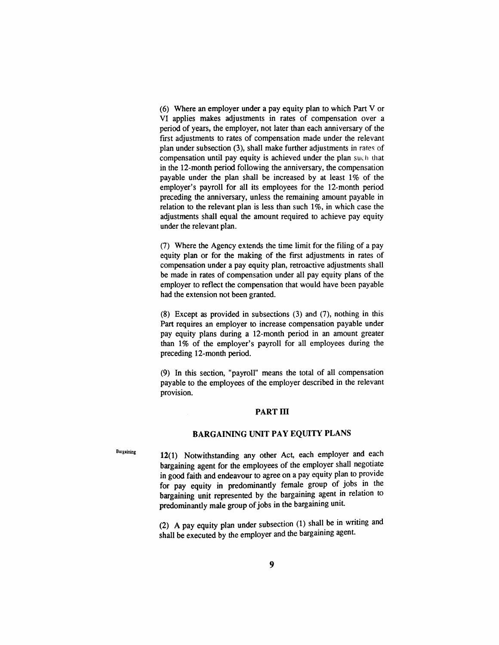(6) Where an employer under a pay equity plan to which Part V or VI applies makes adjustments in rates of compensation over a period of years, die employer, not later than each anniversary of the first adjustments to rates of compensation made under the relevant plan under subsection (3), shall make further adjustments in rates of compensation until pay equity is achieved under the plan such that in the 12-month period following the anniversary, the compensation payable under the plan shall be increased by at least 1% of the employer's payroll for all its employees for the 12-month period preceding the anniversary, unless the remaining amount payable in relation to the relevant plan is less than such 1%, in which case the adjustments shall equal the amount required to achieve pay equity under the relevant plan.

(7) Where the Agency extends the time limit for the filing of a pay equity plan or for the making of the first adjustments in rates of compensation under a pay equity plan, retroactive adjustments shall be made in rates of compensation under all pay equity plans of the employer to reflect the compensation that would have been payable had the extension not been granted.

(8) Except as provided in subsections (3) and (7), nothing in diis Part requires an employer to increase compensation payable under pay equity plans during a 12-month period in an amount greater than 1% of the employer's payroll for aU employees during the preceding 12-mondi period.

(9) In this section, "payroll" means the total of all compensation payable to die employees of the employer described in the relevant provision.

#### **PART m**

#### **BARGAINING UNIT PAY EQUITY PLANS**

Bargaining **12(1)** Notwithstanding any other Act, each employer and each bargaining agent for the employees of the employer shall negotiate in good faidi and endeavour to agree on a pay equity plan to provide for pay equity in predominandy female group of jobs in the bargaining unit represented by die bargaining agent in relation to predominantly male group of jobs in the bargaining unit.

> (2) A pay equity plan under subsection (1) shall be in writing and shall be executed by the employer and the bargaining agent.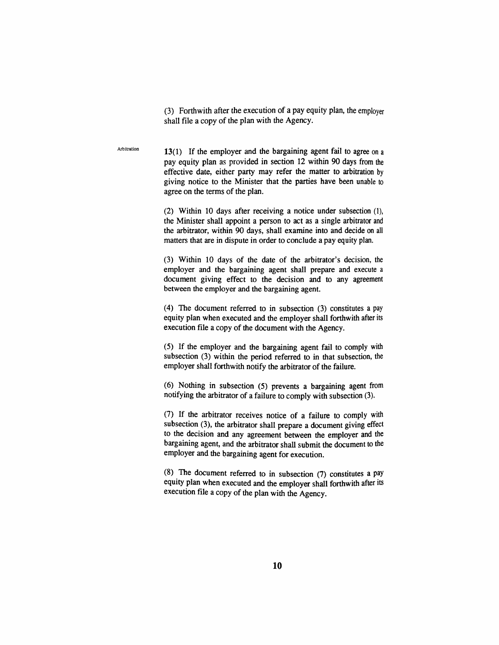(3) Forthwidi after the execution of a pay equity plan, the employer shall file a copy of the plan with the Agency.

13(1) If the employer and the bargaining agent fail to agree on a pay equity plan as provided in section 12 within 90 days from die effective date, either party may refer the matter to arbitration by giving notice to the Minister that the parties have been unable to agree on the terms of the plan.

Arbitration

(2) Within 10 days after receiving a notice under subsection (1), the Minister shall appoint a person to act as a single arbittator and the arbitrator, within 90 days, shall examine into and decide on all matters that are in dispute in order to conclude a pay equity plan.

(3) Within 10 days of the date of the arbittator's decision, the employer and the bargaining agent shall prepare and execute a document giving effect to the decision and to any agreement between the employer and die bargaining agent.

(4) The document referred to in subsection (3) constitutes a pay equity plan when executed and the employer shall forthwith after its execution file a copy of the document with the Agency.

(5) If the employer and the bargaining agent fail to comply with subsection (3) within the period referred to in that subsection, the employer shall forthwith notify the arbitrator of the failure.

(6) Nothing in subsection (5) prevents a bargaining agent from notifying the arbitrator of a failure to comply with subsection (3).

 $(7)$  If the arbitrator receives notice of a failure to comply with subsection (3), the arbitrator shall prepare a document giving effect to the decision and any agreement between the employer and the bargaining agent, and the arbitrator shall submit the document to the employer and the bargaining agent for execution.

(8) The document referred to in subsection  $(7)$  constitutes a pay equity plan when executed and die employer shall forthwith after its execution file a copy of the plan with the Agency.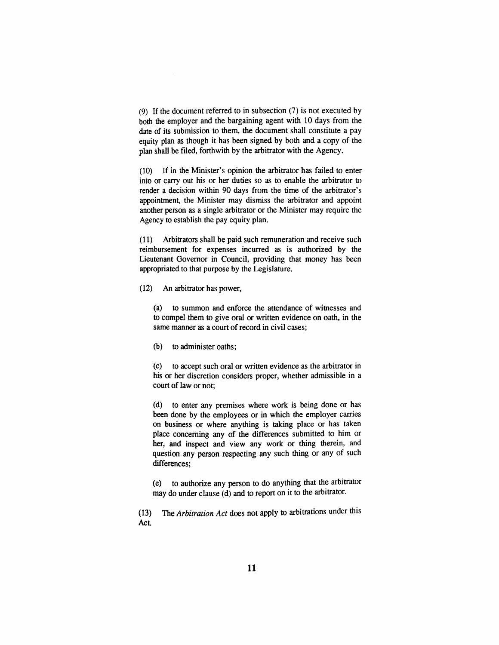(9) If the document referted to in subsection (7) is not executed by both the employer and the bargaining agent with 10 days from the date of its submission to them, the document shall constitute a pay equity plan as though it has been signed by both and a copy of the plan shall be filed, forthwith by the arbitrator with the Agency.

(10) If in the Minister's opinion the arbitrator has failed to enter into or carry out his or her duties so as to enable the arbittator to render a decision within 90 days from the time of the arbitrator's appointment, the Minister may dismiss the arbittator and appoint another person as a single arbitrator or the Minister may require the Agency to establish the pay equity plan.

(11) Arbittators shall be paid such remuneration and receive such reimbursement for expenses incurred as is authorized by the Lieutenant Govemor in Council, providing diat money has been appropriated to that purpose by the Legislature.

(12) An arbittator has power,

(a) to summon and enforce the attendance of wimesses and to compel them to give oral or written evidence on oath, m the same manner as a court of record in civil cases;

(b) to administer oaths;

(c) to accept such oral or written evidence as the arbittator in his or her discretion considers proper, whether admissible in a court of law or not;

(d) to enter any premises where work is being done or has been done by the employees or in which the employer carries on business or where anything is taking place or has taken place conceming any of the differences submitted to him or her, and inspect and view any work or thing therein, and question any person respecting any such thing or any of such differences;

(e) to audiorize any person to do anything diat the arbittator may do under clause (d) and to report on it to the arbitrator.

(13) The *Arbitration Act* does not apply to arbittations under diis Act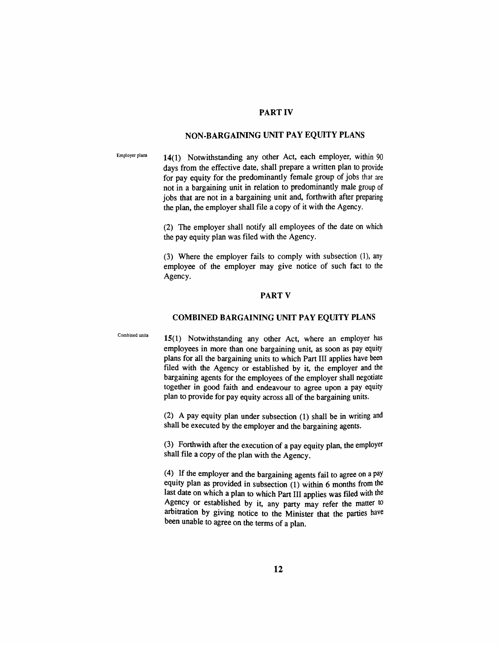#### **PART IV**

#### **NON-BARGAINING UNIT PAY EQUITY PLANS**

Employer plans **14(1)** Notwithstanding any other Act, each employer, within 90 days from die effective date, shall prepare a written plan to provide for pay equity for the predominandy female group of jobs diat are not in a bargaining unit in relation to predominantly male group of jobs that are not in a bargaining unit and, forthwith after preparing the plan, the employer shall file a copy of it with the Agency.

> (2) The employer shall notify all employees of the date on which the pay equity plan was filed with the Agency.

> (3) Where die employer fails to comply with subsection (1), any employee of the employer may give notice of such fact to the Agency.

#### **PART V**

#### **COMBINED BARGAINING UNIT PAY EQUITY PLANS**

Combined units

**15(1)** Notwithstanding any other Act, where an employer has employees in more than one bargaining unit, as soon as pay equity plans for all die bargaining units to which Part III applies have been filed with the Agency or established by it, the employer and the bargaining agents for die employees of die employer shall negotiate together in good faidi and endeavour to agree upon a pay equity plan to provide for pay equity across all of the bargaining units.

(2) A pay equity plan under subsection  $(1)$  shall be in writing and shall be executed by the employer and the bargaining agents.

(3) Forthwith after the execution of a pay equity plan, die employer shall file a copy of the plan with the Agency.

(4) If die employer and die bargaining agents fail to agree on a pay equity plan as provided in subsection (1) within 6 months from the last date on which a plan to which Part III applies was filed with the Agency or established by it, any party may refer the matter to arbitration by giving notice to the Minister that the parties have been unable to agree on the terms of a plan.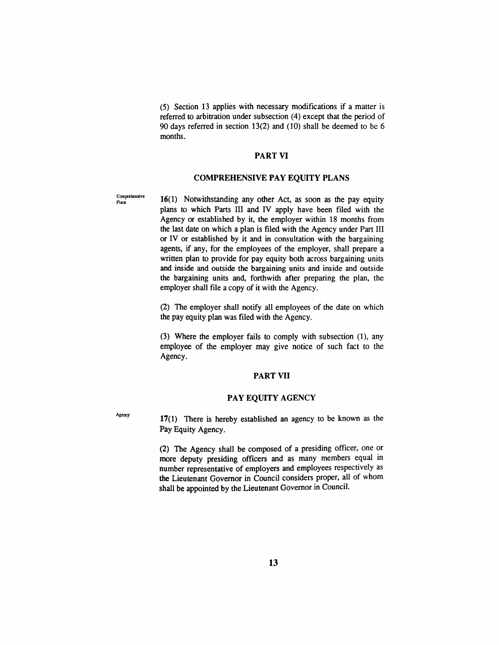(5) Section 13 applies with necessary modifications if a matter is referred to arbitration under subsection (4) except that the period of 90 days referted in section 13(2) and (10) shaU be deemed to be 6 months.

#### **PART VI**

#### **COMPREHENSIVE PAY EQUITY PLANS**

 $C_{\text{Planck}}^{\text{Comprehensive}}$  16(1) Notwithstanding any other Act, as soon as the pay equity plans to which Parts III and IV apply have been filed widi the Agency or established by it, the employer within 18 months from the last date on which a plan is filed with the Agency under Part III or IV or established by it and in consultation with the bargaining agents, if any, for the employees of the employer, shall prepare a written plan to provide for pay equity both across bargaining units and inside and outside the bargaining units and inside and outside the bargaining units and, forthwith after preparing the plan, the employer shall file a copy of it with the Agency.

> (2) The employer shall notify all employees of the date on which the pay equity plan was filed with the Agency.

> (3) Where the employer fails to comply with subsection (1), any employee of the employer may give notice of such fact to the Agency.

#### **PART VII**

#### **PAY EQUITY** AGENCY

Agency **17(1)** There is hereby established an agency to be known as the Pay Equity Agency.

> (2) The Agency shall be composed of a presidmg officer, one or more deputy presiding officers and as many members equal in number representative of employers and employees respectively as the Lieutenant Governor in Council considers proper, all of whom shall be appointed by the Lieutenant Governor in Council.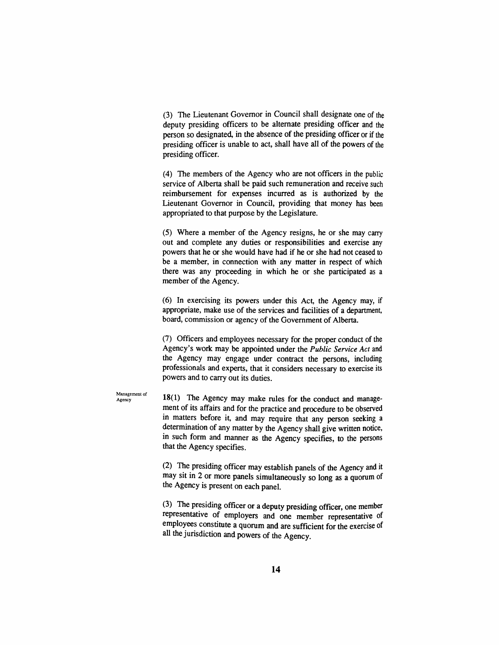(3) The Lieutenant Governor in Council shall designate one of the deputy presiding officers to be alternate presiding officer and the person so designated, in the absence of the presiding officer or if the presiding officer is unable to act, shall have all of the powers of the presiding officer.

(4) The members of the Agency who are not officers in die public service of Alberta shall be paid such remuneration and receive such reimbursement for expenses mcwred as is audiorized by die Lieutenant Governor in Council, providing that money has been appropriated to that purpose by the Legislature.

(5) Where a member of the Agency resigns, he or she may carry out and complete any duties or responsibilities and exercise any powers diat he or she would have had if he or she had not ceased to be a member, in connection with any matter in respect of which there was any proceeding in which he or she participated as a member of the Agency.

(6) In exercising its powers under this Act, the Agency may, if appropriate, make use of the services and facilities of a department, board, commission or agency of the Govemment of Alberta.

(7) Officers and employees necessary for the proper conduct of die Agency's work may be appomted under die *Public Service Act* and the Agency may engage under contract the persons, including professionals and experts, that it considers necessary to exercise its powers and to carry out its duties.

 $A_{\text{Agency}}$  18(1) The Agency may make rules for the conduct and management of its affairs and for the practice and procedure to be observed in matters before it, and may require that any person seeking a determination of any matter by the Agency shall give written notice, in such form and manner as die Agency specifies, to the persons that the Agency specifies.

> (2) The presidmg officer may establish panels of die Agency and it may sit in 2 or more panels simultaneously so long as a quorum of the Agency is present on each panel.

> (3) The presidmg officer or a deputy presiding officer, one member representative of employers and one member representative of employees constitute a quorum and are sufficient for the exercise of all the jurisdiction and powers of the Agency.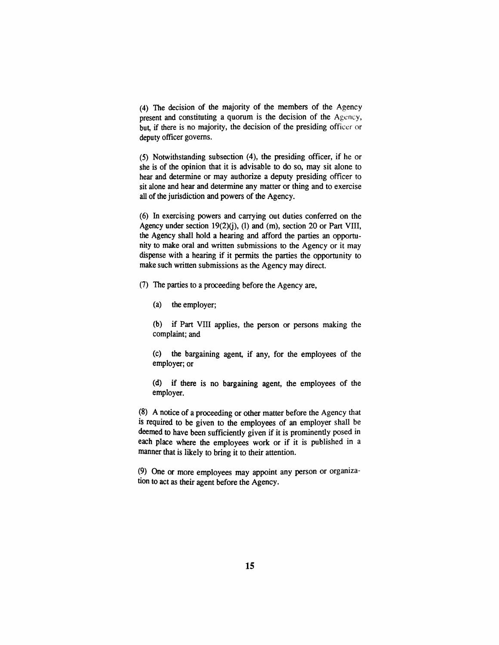(4) The decision of die majority of die members of die Agency present and constituting a quorum is the decision of the Agency, but, *if* there is no majority, the decision of the presiding officer or deputy officer governs.

(5) Notwithstanding subsection (4), the presiding officer, if he or she is of the opinion that it is advisable to do so, may sit alone to hear and determine or may authorize a deputy presiding officer to sit alone and hear and determine any matter or thing and to exercise all of the jurisdiction and powers of the Agency.

(6) In exercismg powers and carrying out duties conferted on the Agency under section 19(2)(j), (1) and (m), section 20 or Part VIII, the Agency shall hold a hearing and afford the parties an opportunity to make oral and written submissions to the Agency or it may dispense with a hearing if it permits the parties the opportunity to make such written submissions as the Agency may direct.

(7) The parties to a proceeding before the Agency are,

(a) the employer;

(b) if Part VIII applies, the person or persons making the complaint; and

(c) die bargaining agent, if any, for the employees of the employer; or

(d) if diere is no bargaining agent, the employees of the employer.

(8) A notice of a proceeding or odier matter before the Agency diat is required to be given to the employees of an employer shall be deemed to have been sufficiently given if it is prominendy posed in each place where the employees work or if it is published in a manner that is likely to bring it to their attention.

(9) One or more employees may appoint any person or organization to act as their agent before the Agency.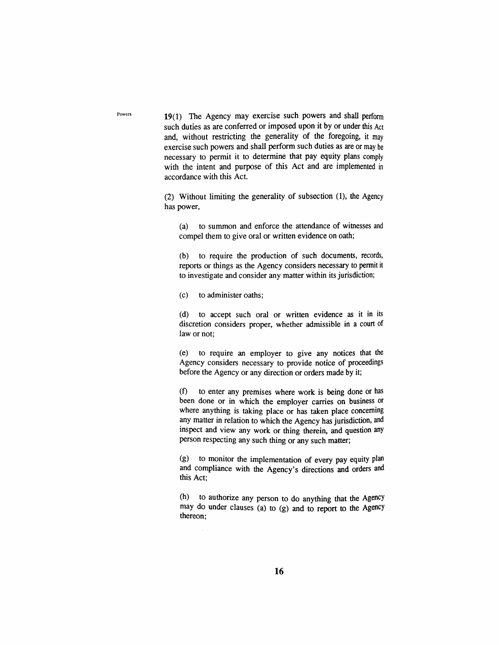19(1) The Agency may exercise such powers and shall perform such duties as are conferred or imposed upon it by or under this Act and, without restricting the generality of the foregoing, it may exercise such powers and shaU perform such duties as are or may be necessary to permit it to determine diat pay equity plans comply with the intent and purpose of this Act and are implemented in accordance with this Act.

 $(2)$  Without limiting the generality of subsection  $(1)$ , the Agency has power,

(a) to summon and enforce the attendance of wimesses and compel them to give oral or written evidence on oath;

(b) to require the production of such documents, records, reports or things as the Agency considers necessary to permit it to investigate and consider any matter within its jurisdiction;

(c) to administer oaths;

(d) to accept such oral or written evidence as it in its discretion considers proper, whether admissible in a court of law or not;

(e) to require an employer to give any notices that the Agency considers necessary to provide notice of proceedings before the Agency or any direction or orders made by it;

(f) to enter any premises where work is being done or has been done or in which the employer carries on business or where anything is taking place or has taken place concerning any matter in relation to which the Agency has jurisdiction, and inspect and view any work or thing dierein, and question any person respecting any such thing or any such matter;

(g) to monitor die implementation of every pay equity plan and compliance with the Agency's directions and orders and this Act;

(h) to authorize any person to do anything that the Agency may do under clauses (a) to (g) and to report to die Agency thereon;

Powers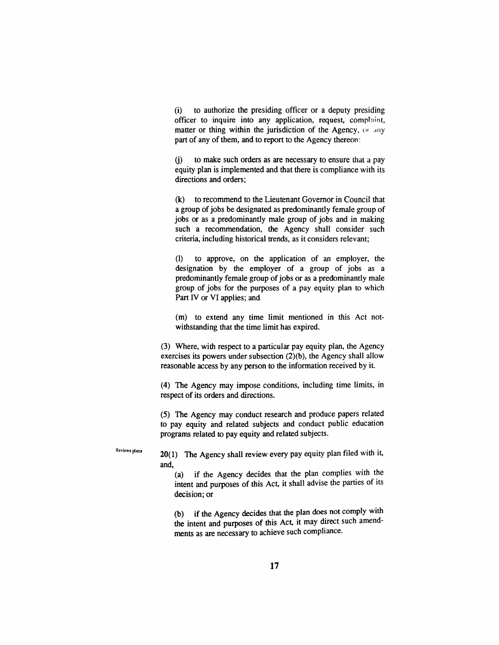(i) to authorize the presiding officer or a deputy presiding officer to inquire into any application, request, complaint, matter or thing within the jurisdiction of the Agency, or any part of any of them, and to report to the Agency thereon:

(j) to make such orders as are necessary to ensure that a pay equity plan is implemented and diat diere is compliance with its directions and orders:

(k) to recommend to the Lieutenant Govemor in Council diat a group of jobs be designated as predominandy female group of jobs or as a predominandy male group of jobs and in making such a recommendation, the Agency shall consider such criteria, including historical trends, as it considers relevant;

(1) to approve, on the application of an employer, the designation by the employer of a group of jobs as a predominantly female group of jobs or as a predominantly male group of jobs for the purposes of a pay equity plan to which Part IV or VI applies; and

(m) to extend any time limit mentioned in this Act notwithstanding that the time limit has expired.

(3) Where, widi respect to a particular pay equity plan, the Agency exercises its powers under subsection (2)(b), the Agency shall allow reasonable access by any person to the information received by it.

(4) The Agency may impose conditions, including time limits, in respect of its orders and directions.

(5) The Agency may conduct research and produce papers related to pay equity and related subjects and conduct public education programs related to pay equity and related subjects.

Reviews plans  $20(1)$  The Agency shall review every pay equity plan filed with it, and,

(a) if die Agency decides diat the plan complies with the intent and purposes of this Act, it shall advise the parties of its decision; or

(b) if die Agency decides diat die plan does not comply widi the intent and purposes of this Act, it may direct such amendments as are necessary to achieve such comphance.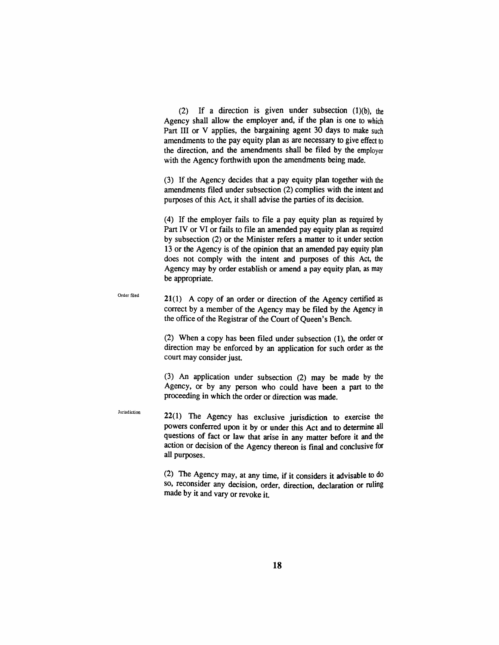(2) If a direction is given under subsection  $(1)(b)$ , the Agency shall allow the employer and, if the plan is one to which Part III or V applies, the bargaining agent 30 days to make such amendments to the pay equity plan as are necessary to give effect to the direction, and the amendments shall be filed by the employer with the Agency forthwith upon the amendments being made.

(3) If the Agency decides that a pay equity plan together with the amendments filed under subsection (2) complies with the intent and purposes of this Act, it shall advise die parties of its decision.

 $(4)$  If the employer fails to file a pay equity plan as required by Part IV or VI or fails to file an amended pay equity plan as required by subsection (2) or the Minister refers a matter to it under section 13 or the Agency is of the opinion diat an amended pay equity plan does not comply with the intent and purposes of this Act, die Agency may by order establish or amend a pay equity plan, as may be appropriate.

Order filed  $21(1)$  A copy of an order or direction of the Agency certified as correct by a member of the Agency may be filed by the Agency in the office of die Registtar of die Court of Queen's Bench.

> (2) When a copy has been filed under subsection (1), die order or direction may be enforced by an application for such order as the court may consider just.

> (3) An application under subsection (2) may be made by the Agency, or by any person who could have been a part to die proceeding in which the order or direction was made.

Jurisdiction

22(1) The Agency has exclusive jurisdiction to exercise die powers conferred upon it by or under this Act and to determine all questions of fact or law that arise in any matter before it and die action or decision of die Agency thereon is final and conclusive for all purposes.

(2) The Agency may, at any time, if it considers it advisable to do so, reconsider any decision, order, direction, declaration or ruling made by it and vary or revoke it.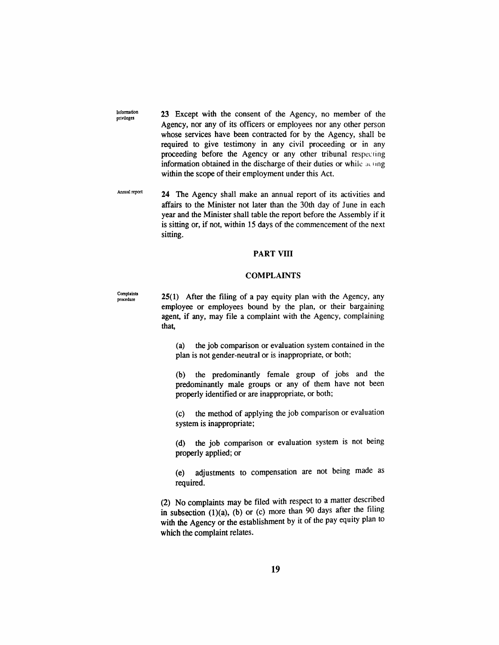**Infomiation privileges**  23 Except with the consent of die Agency, no member of the Agency, nor any of its officers or employees nor any other person whose services have been contracted for by the Agency, shall be required to give testimony in any civil proceeding or in any proceeding before the Agency or any other tribunal respecting information obtained in the discharge of their duties or while acting within the scope of their employment under this Act.

**Annual report** 24 The Agency shall make an annual report of its activities and affairs to the Minister not later than the 30th day of June in each year and the Minister shall table the report before the Assembly if it is sitting or, if not, within 15 days of die commencement of the next sitting.

#### **PART VIII**

#### **COMPLAINTS**

**Complaints** 

**25(1)** After the filing of a pay equity plan with the Agency, any employee or employees bound by the plan, or their bargaining agent, if any, may file a complaint widi the Agency, complaining that.

(a) the job comparison or evaluation system contained in the plan is not gender-neuttal or is inappropriate, or both;

(b) the predominandy female group of jobs and the predominantly male groups or any of diem have not been properly identified or are inappropriate, or both;

(c) die method of applying die job comparison or evaluation system is inappropriate;

(d) the job comparison or evaluation system is not being properly applied; or

(e) adjustments to compensation are not being made as required.

(2) No complamts may be filed with respect to a matter described in subsection  $(1)(a)$ ,  $(b)$  or  $(c)$  more than 90 days after the filing with the Agency or the establishment by it of the pay equity plan to which the complaint relates.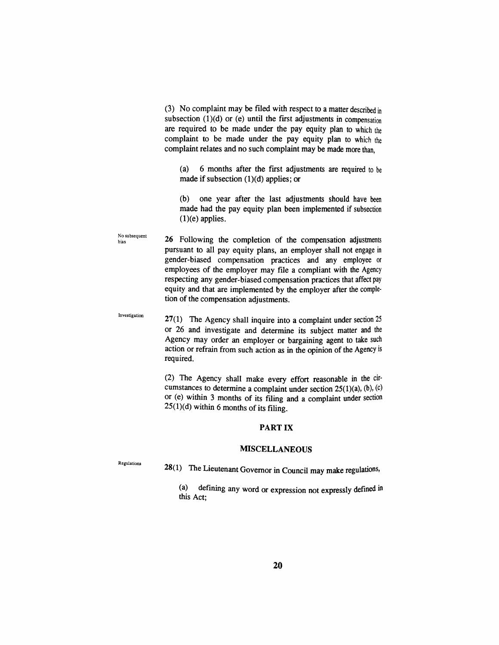(3) No complaint may be filed with respect to a matter described in subsection  $(1)(d)$  or (e) until the first adjustments in compensation are required to be made under the pay equity plan to which the complaint to be made under the pay equity plan to which the complaint relates and no such complaint may be made more than,

(a) 6 months after the first adjustments are required to be made if subsection  $(1)(d)$  applies; or

(b) one year after the last adjustments should have been made had the pay equity plan been implemented if subsection  $(1)(e)$  applies.

No subsequent bias 26 Following the completion of the compensation adjustments pursuant to all pay equity plans, an employer shall not engage in gender-biased compensation practices and any employee or employees of the employer may file a compliant with the Agency respecting any gender-biased compensation practices that affect pay equity and that are implemented by the employer after die completion of the compensation adjustments.

Investigation 27(1) The Agency shall inquire into a complaint under section  $25$ or 26 and mvestigate and determine its subject matter and die Agency may order an employer or bargaining agent to take such action or refrain from such action as in the opinion of the Agency is required.

> (2) The Agency shall make every effort reasonable in the circumstances to determine a complaint under section  $25(1)(a)$ ,  $(b)$ ,  $(c)$ or (e) within 3 months of its filing and a complaint under section  $25(1)(d)$  within 6 months of its filing.

#### PART IX

#### MISCELLANEOUS

Regulations

 $28(1)$  The Lieutenant Governor in Council may make regulations,

(a) defining any word or expression not expressly defined in this Act;